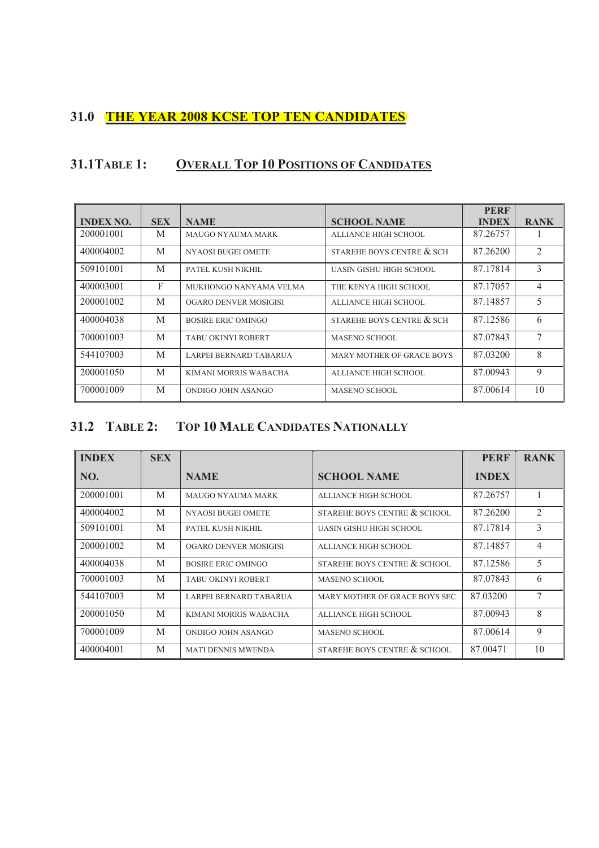#### **31.0 THE YEAR 2008 KCSE TOP TEN CANDIDATES**

### **31.1TABLE 1: OVERALL TOP 10 POSITIONS OF CANDIDATES**

|                  |            |                           |                           | <b>PERF</b>  |                |
|------------------|------------|---------------------------|---------------------------|--------------|----------------|
| <b>INDEX NO.</b> | <b>SEX</b> | <b>NAME</b>               | <b>SCHOOL NAME</b>        | <b>INDEX</b> | <b>RANK</b>    |
| 200001001        | M          | <b>MAUGO NYAUMA MARK</b>  | ALLIANCE HIGH SCHOOL      | 87.26757     |                |
| 400004002        | M          | <b>NYAOSI BUGEI OMETE</b> | STAREHE BOYS CENTRE & SCH | 87.26200     | $\mathfrak{D}$ |
| 509101001        | M          | PATEL KUSH NIKHIL         | UASIN GISHU HIGH SCHOOL   | 87.17814     | 3              |
| 400003001        | F          | MUKHONGO NANYAMA VELMA    | THE KENYA HIGH SCHOOL     | 87.17057     | 4              |
| 200001002        | M          | OGARO DENVER MOSIGISI     | ALLIANCE HIGH SCHOOL      | 87.14857     | 5              |
| 400004038        | M          | BOSIRE ERIC OMINGO        | STAREHE BOYS CENTRE & SCH | 87.12586     | 6              |
| 700001003        | M          | TABU OKINYI ROBERT        | <b>MASENO SCHOOL</b>      | 87.07843     | $\tau$         |
| 544107003        | M          | LARPEI BERNARD TABARUA    | MARY MOTHER OF GRACE BOYS | 87.03200     | 8              |
| 200001050        | M          | KIMANI MORRIS WABACHA     | ALLIANCE HIGH SCHOOL      | 87.00943     | 9              |
| 700001009        | M          | ONDIGO JOHN ASANGO        | <b>MASENO SCHOOL</b>      | 87.00614     | 10             |

### **31.2 TABLE 2: TOP 10 MALE CANDIDATES NATIONALLY**

| <b>INDEX</b> | <b>SEX</b> |                           |                               | <b>PERF</b>  | <b>RANK</b> |
|--------------|------------|---------------------------|-------------------------------|--------------|-------------|
| NO.          |            | <b>NAME</b>               | <b>SCHOOL NAME</b>            | <b>INDEX</b> |             |
| 200001001    | M          | MAUGO NYAUMA MARK         | ALLIANCE HIGH SCHOOL          | 87.26757     |             |
| 400004002    | M          | <b>NYAOSI BUGEI OMETE</b> | STAREHE BOYS CENTRE & SCHOOL  | 87.26200     | 2           |
| 509101001    | M          | PATEL KUSH NIKHIL         | UASIN GISHU HIGH SCHOOL       | 87.17814     | 3           |
| 200001002    | M          | OGARO DENVER MOSIGISI     | ALLIANCE HIGH SCHOOL          | 87.14857     | 4           |
| 400004038    | M          | <b>BOSIRE ERIC OMINGO</b> | STAREHE BOYS CENTRE & SCHOOL  | 87.12586     | 5           |
| 700001003    | M          | TABU OKINYI ROBERT        | <b>MASENO SCHOOL</b>          | 87.07843     | 6           |
| 544107003    | M          | LARPEI BERNARD TABARUA    | MARY MOTHER OF GRACE BOYS SEC | 87.03200     | $\tau$      |
| 200001050    | M          | KIMANI MORRIS WABACHA     | ALLIANCE HIGH SCHOOL          | 87.00943     | 8           |
| 700001009    | M          | ONDIGO JOHN ASANGO        | <b>MASENO SCHOOL</b>          | 87.00614     | 9           |
| 400004001    | M          | <b>MATI DENNIS MWENDA</b> | STAREHE BOYS CENTRE & SCHOOL  | 87.00471     | 10          |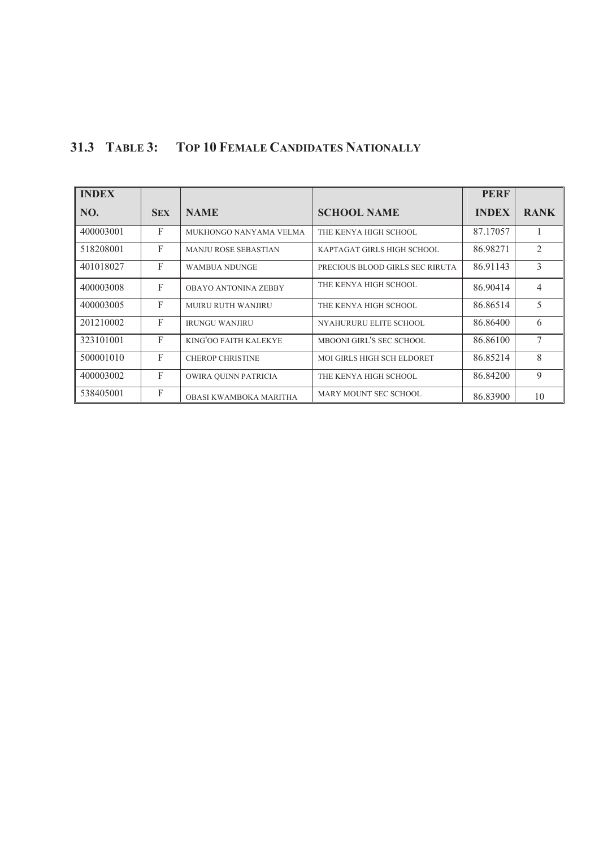## **31.3 TABLE 3: TOP 10 FEMALE CANDIDATES NATIONALLY**

| <b>INDEX</b> |              |                             |                                 | <b>PERF</b>  |             |
|--------------|--------------|-----------------------------|---------------------------------|--------------|-------------|
| NO.          | <b>SEX</b>   | <b>NAME</b>                 | <b>SCHOOL NAME</b>              | <b>INDEX</b> | <b>RANK</b> |
| 400003001    | $\mathbf{F}$ | MUKHONGO NANYAMA VELMA      | THE KENYA HIGH SCHOOL           | 87.17057     |             |
| 518208001    | $\mathbf{F}$ | <b>MANJU ROSE SEBASTIAN</b> | KAPTAGAT GIRLS HIGH SCHOOL      | 86.98271     | 2           |
| 401018027    | $\mathbf{F}$ | <b>WAMBUA NDUNGE</b>        | PRECIOUS BLOOD GIRLS SEC RIRUTA | 86.91143     | 3           |
| 400003008    | $\mathbf{F}$ | OBAYO ANTONINA ZEBBY        | THE KENYA HIGH SCHOOL           | 86.90414     | 4           |
| 400003005    | $\mathbf{F}$ | <b>MURU RUTH WANJIRU</b>    | THE KENYA HIGH SCHOOL           | 86.86514     | 5           |
| 201210002    | $\mathbf{F}$ | <b>IRUNGU WANJIRU</b>       | NYAHURURU ELITE SCHOOL          | 86.86400     | 6           |
| 323101001    | $\mathbf{F}$ | KING'OO FAITH KALEKYE       | MBOONI GIRL'S SEC SCHOOL        | 86.86100     | 7           |
| 500001010    | $\mathbf{F}$ | <b>CHEROP CHRISTINE</b>     | MOI GIRLS HIGH SCH ELDORET      | 86.85214     | 8           |
| 400003002    | $\mathbf{F}$ | OWIRA QUINN PATRICIA        | THE KENYA HIGH SCHOOL           | 86.84200     | 9           |
| 538405001    | F            | OBASI KWAMBOKA MARITHA      | MARY MOUNT SEC SCHOOL           | 86.83900     | 10          |